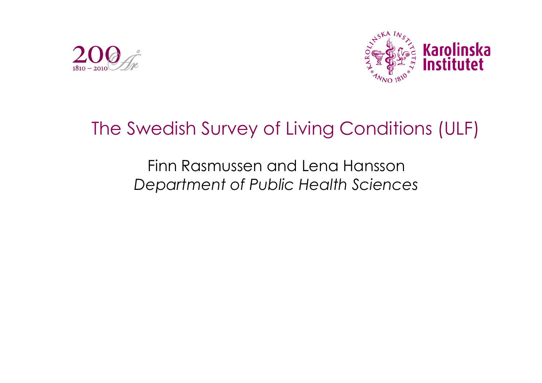



# The Swedish Survey of Living Conditions (ULF)

Finn Rasmussen and Lena Hansson *Department of Public Health Sciences*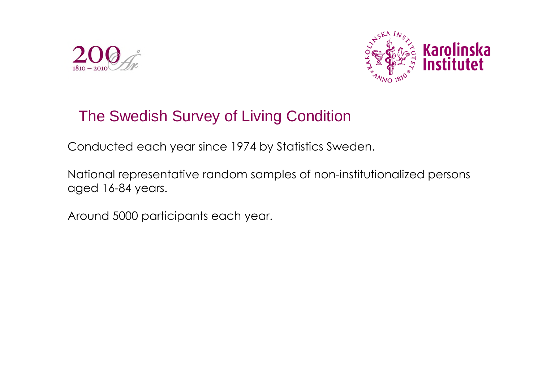



### The Swedish Survey of Living Condition

Conducted each year since 1974 by Statistics Sweden.

National representative random samples of non-institutionalized persons aged 16-84 years.

Around 5000 participants each year.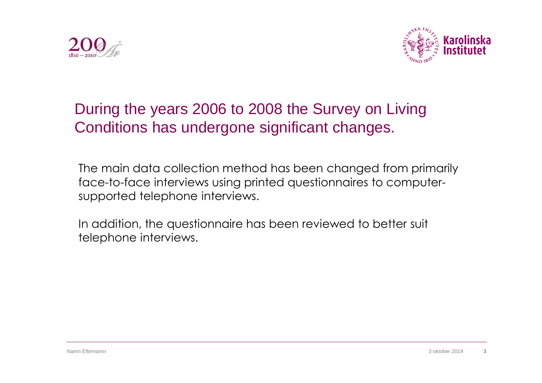



## During the years 2006 to 2008 the Survey on Living Conditions has undergone significant changes.

The main data collection method has been changed from primarily face-to-face interviews using printed questionnaires to computersupported telephone interviews.

In addition, the questionnaire has been reviewed to better suit telephone interviews.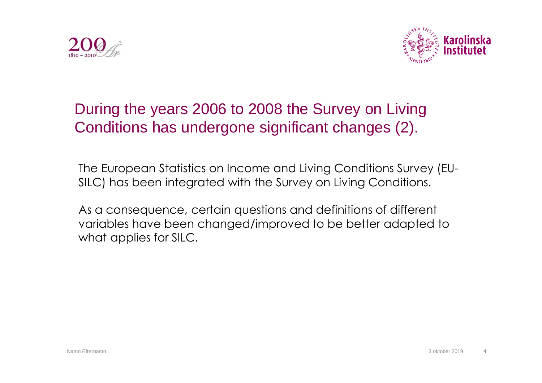



## During the years 2006 to 2008 the Survey on Living Conditions has undergone significant changes (2).

The European Statistics on Income and Living Conditions Survey (EU-SILC) has been integrated with the Survey on Living Conditions.

As a consequence, certain questions and definitions of different variables have been changed/improved to be better adapted to what applies for SILC.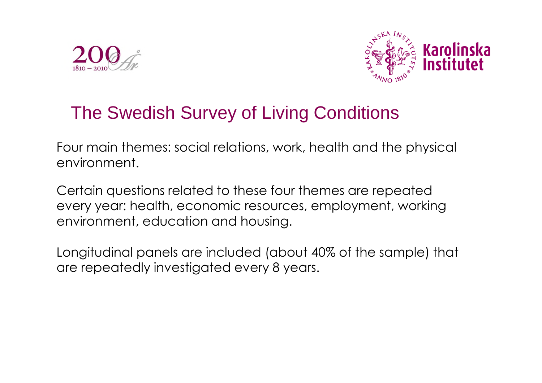



## The Swedish Survey of Living Conditions

Four main themes: social relations, work, health and the physical environment.

Certain questions related to these four themes are repeated every year: health, economic resources, employment, working environment, education and housing.

Longitudinal panels are included (about 40% of the sample) that are repeatedly investigated every 8 years.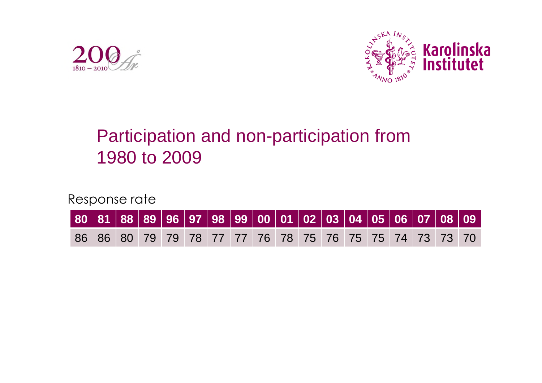



# Participation and non-participation from 1980 to 2009

Response rate

| │80 │81 │88 │89 │96 │97 │98 │99 │00 │01 │02 │03 │04 │05 │06 │07 │08 │09 │ |  |  |  |  |  |  |  |  |
|---------------------------------------------------------------------------|--|--|--|--|--|--|--|--|
| 86 86 80 79 79 78 77 77 76 78 75 76 75 75 74 73 73 70                     |  |  |  |  |  |  |  |  |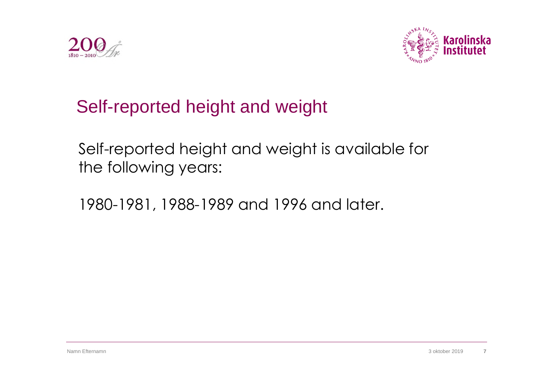



# Self-reported height and weight

Self-reported height and weight is available for the following years:

1980-1981, 1988-1989 and 1996 and later.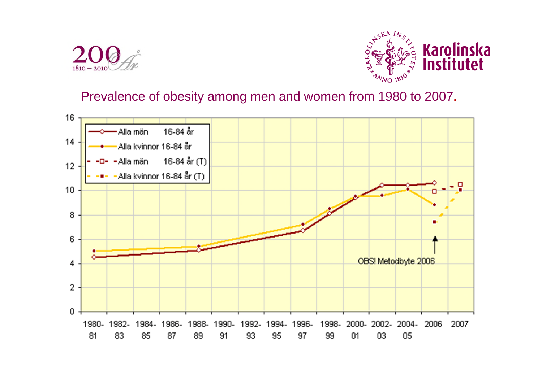



#### Prevalence of obesity among men and women from 1980 to 2007.

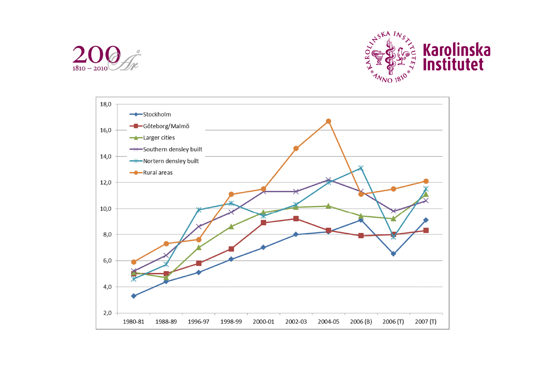



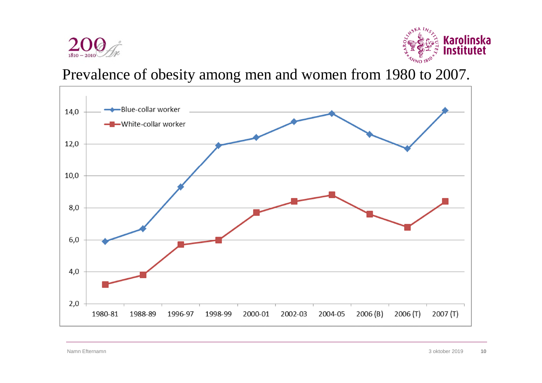



Prevalence of obesity among men and women from 1980 to 2007.

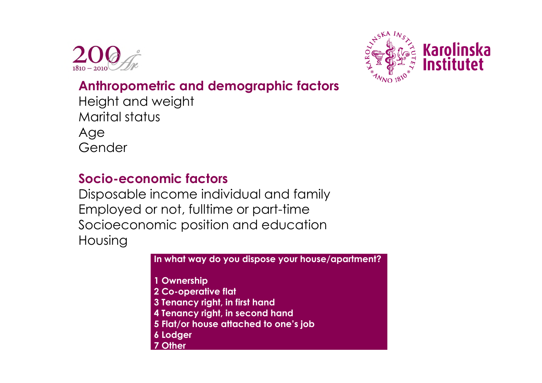



### **Anthropometric and demographic factors**

Height and weight Marital status Age Gender

#### **Socio-economic factors**

Disposable income individual and family Employed or not, fulltime or part-time Socioeconomic position and education Housing

**In what way do you dispose your house/apartment?**

**1 Ownership**

- **2 Co-operative flat**
- **3 Tenancy right, in first hand**
- **4 Tenancy right, in second hand**
- **5 Flat/or house attached to one's job**
- **6 Lodger**
- **7 Other**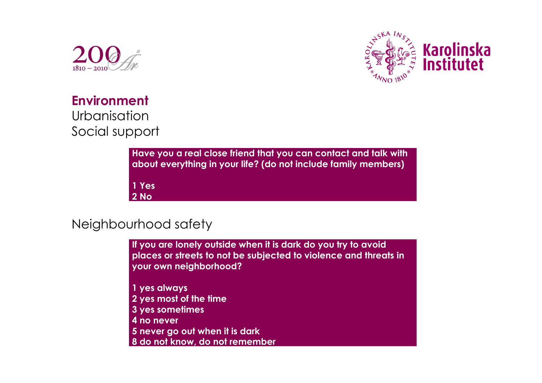



**Environment** Urbanisation Social support

> **Have you a real close friend that you can contact and talk with about everything in your life? (do not include family members) 1 Yes 2 No**

#### Neighbourhood safety

**If you are lonely outside when it is dark do you try to avoid places or streets to not be subjected to violence and threats in your own neighborhood?**

- **1 yes always**
- **2 yes most of the time**
- **3 yes sometimes**
- **4 no never**
- **5 never go out when it is dark**
- **8 do not know, do not remember**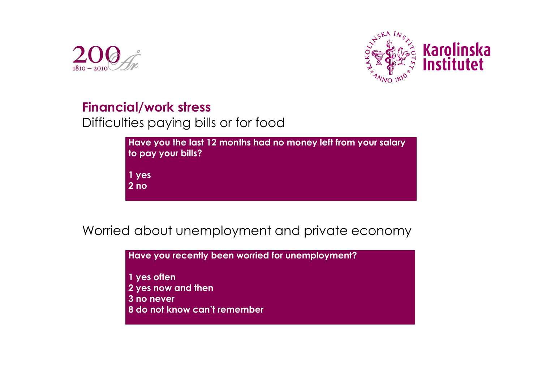



#### **Financial/work stress**

Difficulties paying bills or for food

| to pay your bills? | Have you the last 12 months had no money left from your salary |  |
|--------------------|----------------------------------------------------------------|--|
| 1 yes              |                                                                |  |
| 2 <sub>no</sub>    |                                                                |  |

Worried about unemployment and private economy

**Have you recently been worried for unemployment?**

**1 yes often 2 yes now and then 3 no never 8 do not know can't remember**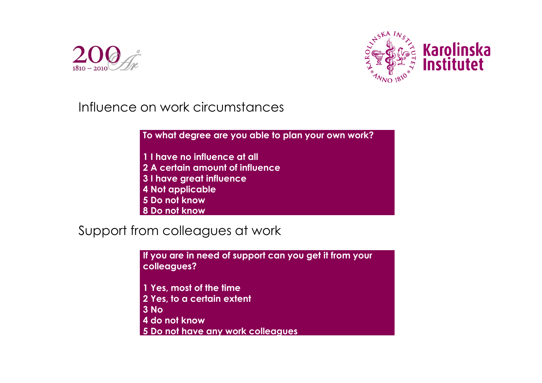



Influence on work circumstances

**To what degree are you able to plan your own work?**

- **1 I have no influence at all**
- **2 A certain amount of influence**
- **3 I have great influence**
- **4 Not applicable**
- **5 Do not know**
- **8 Do not know**

Support from colleagues at work

**If you are in need of support can you get it from your colleagues?**

- **1 Yes, most of the time 2 Yes, to a certain extent**
- **3 No**
- **4 do not know**
- **5 Do not have any work colleagues**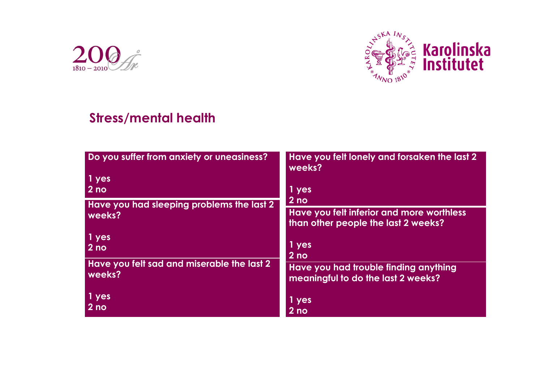



#### **Stress/mental health**

| Do you suffer from anxiety or uneasiness?  | Have you felt lonely and forsaken the last 2<br>weeks? |  |  |  |  |
|--------------------------------------------|--------------------------------------------------------|--|--|--|--|
| $1$ yes                                    |                                                        |  |  |  |  |
| $ 2n$ o                                    | 1 yes                                                  |  |  |  |  |
| Have you had sleeping problems the last 2  | 2 <sub>no</sub>                                        |  |  |  |  |
| weeks?                                     | Have you felt inferior and more worthless              |  |  |  |  |
|                                            | than other people the last 2 weeks?                    |  |  |  |  |
| $\vert$ 1 yes                              |                                                        |  |  |  |  |
| $ 2n$ o                                    | 1 yes                                                  |  |  |  |  |
|                                            | $2$ no                                                 |  |  |  |  |
| Have you felt sad and miserable the last 2 | Have you had trouble finding anything                  |  |  |  |  |
| weeks?                                     | meaningful to do the last 2 weeks?                     |  |  |  |  |
|                                            |                                                        |  |  |  |  |
| $\vert$ 1 yes                              | 1 yes                                                  |  |  |  |  |
| $ 2n$ o                                    | 2 <sub>no</sub>                                        |  |  |  |  |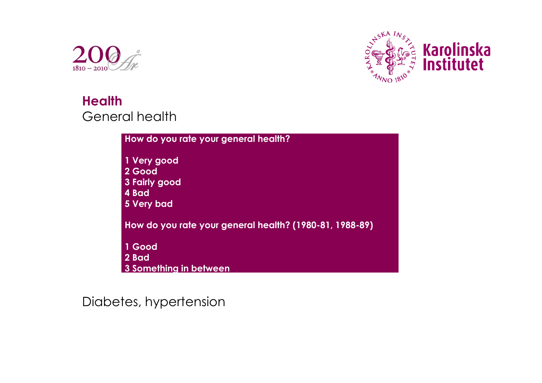



### **Health** General health

| How do you rate your general health?                          |
|---------------------------------------------------------------|
| 1 Very good<br>2 Good<br>3 Fairly good<br>4 Bad<br>5 Very bad |
| How do you rate your general health? (1980-81, 1988-89)       |
| 1 Good<br>2 Bad<br>3 Something in between                     |

#### Diabetes, hypertension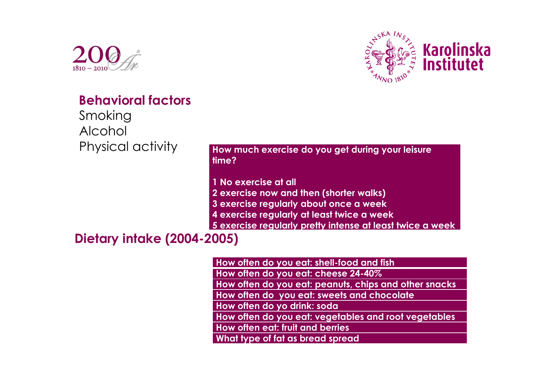



#### **Behavioral factors**

Smoking Alcohol Physical activity

**How much exercise do you get during your leisure time?**

**1 No exercise at all**

**2 exercise now and then (shorter walks)**

**3 exercise regularly about once a week**

**4 exercise regularly at least twice a week**

**5 exercise regularly pretty intense at least twice a week**

#### **Dietary intake (2004-2005)**

**How often do you eat: shell-food and fish How often do you eat: cheese 24-40% How often do you eat: peanuts, chips and other snacks How often do you eat: sweets and chocolate How often do yo drink: soda**

**How often do you eat: vegetables and root vegetables**

**How often eat: fruit and berries**

**What type of fat as bread spread**